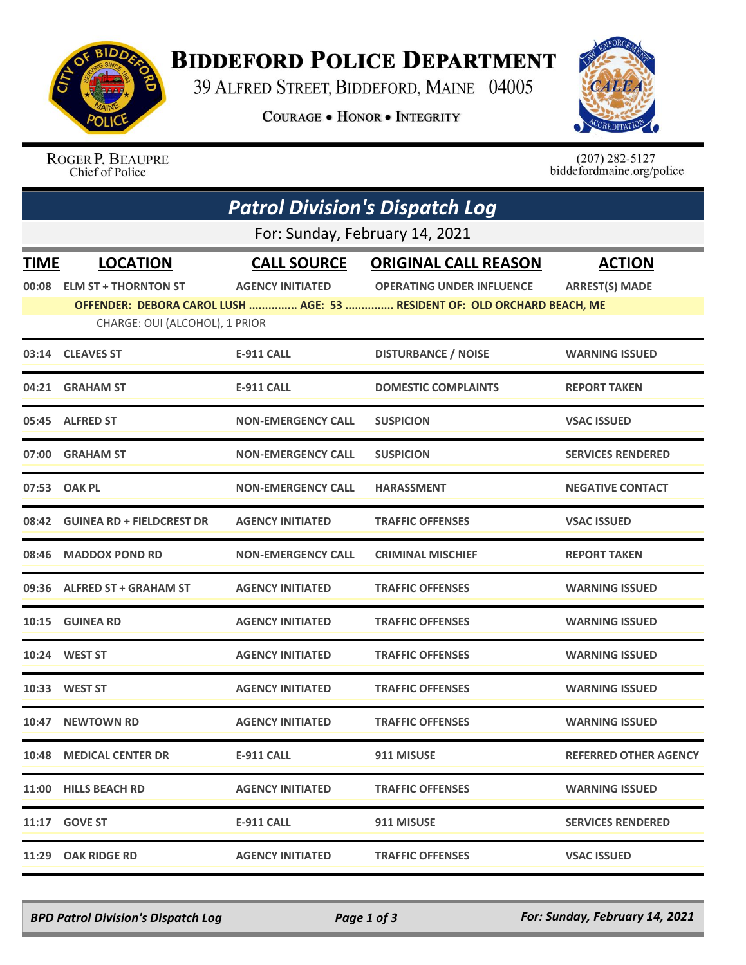

## **BIDDEFORD POLICE DEPARTMENT**

39 ALFRED STREET, BIDDEFORD, MAINE 04005

**COURAGE . HONOR . INTEGRITY** 



ROGER P. BEAUPRE Chief of Police

 $(207)$  282-5127<br>biddefordmaine.org/police

| <b>Patrol Division's Dispatch Log</b> |                                  |                           |                                                                          |                              |  |  |  |
|---------------------------------------|----------------------------------|---------------------------|--------------------------------------------------------------------------|------------------------------|--|--|--|
|                                       | For: Sunday, February 14, 2021   |                           |                                                                          |                              |  |  |  |
| <b>TIME</b>                           | <b>LOCATION</b>                  | <b>CALL SOURCE</b>        | <b>ORIGINAL CALL REASON</b>                                              | <b>ACTION</b>                |  |  |  |
| 00:08                                 | <b>ELM ST + THORNTON ST</b>      | <b>AGENCY INITIATED</b>   | <b>OPERATING UNDER INFLUENCE</b>                                         | <b>ARREST(S) MADE</b>        |  |  |  |
|                                       |                                  |                           | OFFENDER: DEBORA CAROL LUSH  AGE: 53  RESIDENT OF: OLD ORCHARD BEACH, ME |                              |  |  |  |
|                                       | CHARGE: OUI (ALCOHOL), 1 PRIOR   |                           |                                                                          |                              |  |  |  |
|                                       | 03:14 CLEAVES ST                 | <b>E-911 CALL</b>         | <b>DISTURBANCE / NOISE</b>                                               | <b>WARNING ISSUED</b>        |  |  |  |
|                                       | 04:21 GRAHAM ST                  | E-911 CALL                | <b>DOMESTIC COMPLAINTS</b>                                               | <b>REPORT TAKEN</b>          |  |  |  |
|                                       | 05:45 ALFRED ST                  | <b>NON-EMERGENCY CALL</b> | <b>SUSPICION</b>                                                         | <b>VSAC ISSUED</b>           |  |  |  |
| 07:00                                 | <b>GRAHAM ST</b>                 | <b>NON-EMERGENCY CALL</b> | <b>SUSPICION</b>                                                         | <b>SERVICES RENDERED</b>     |  |  |  |
|                                       | 07:53 OAK PL                     | <b>NON-EMERGENCY CALL</b> | <b>HARASSMENT</b>                                                        | <b>NEGATIVE CONTACT</b>      |  |  |  |
| 08:42                                 | <b>GUINEA RD + FIELDCREST DR</b> | <b>AGENCY INITIATED</b>   | <b>TRAFFIC OFFENSES</b>                                                  | <b>VSAC ISSUED</b>           |  |  |  |
|                                       | 08:46 MADDOX POND RD             | <b>NON-EMERGENCY CALL</b> | <b>CRIMINAL MISCHIEF</b>                                                 | <b>REPORT TAKEN</b>          |  |  |  |
|                                       | 09:36 ALFRED ST + GRAHAM ST      | <b>AGENCY INITIATED</b>   | <b>TRAFFIC OFFENSES</b>                                                  | <b>WARNING ISSUED</b>        |  |  |  |
|                                       | 10:15 GUINEA RD                  | <b>AGENCY INITIATED</b>   | <b>TRAFFIC OFFENSES</b>                                                  | <b>WARNING ISSUED</b>        |  |  |  |
|                                       | 10:24 WEST ST                    | <b>AGENCY INITIATED</b>   | <b>TRAFFIC OFFENSES</b>                                                  | <b>WARNING ISSUED</b>        |  |  |  |
| 10:33                                 | <b>WEST ST</b>                   | <b>AGENCY INITIATED</b>   | <b>TRAFFIC OFFENSES</b>                                                  | <b>WARNING ISSUED</b>        |  |  |  |
|                                       | 10:47 NEWTOWN RD                 | <b>AGENCY INITIATED</b>   | <b>TRAFFIC OFFENSES</b>                                                  | <b>WARNING ISSUED</b>        |  |  |  |
|                                       | 10:48 MEDICAL CENTER DR          | E-911 CALL                | 911 MISUSE                                                               | <b>REFERRED OTHER AGENCY</b> |  |  |  |
|                                       | 11:00 HILLS BEACH RD             | <b>AGENCY INITIATED</b>   | <b>TRAFFIC OFFENSES</b>                                                  | <b>WARNING ISSUED</b>        |  |  |  |
|                                       | 11:17 GOVE ST                    | <b>E-911 CALL</b>         | 911 MISUSE                                                               | <b>SERVICES RENDERED</b>     |  |  |  |
| 11:29                                 | <b>OAK RIDGE RD</b>              | <b>AGENCY INITIATED</b>   | <b>TRAFFIC OFFENSES</b>                                                  | <b>VSAC ISSUED</b>           |  |  |  |

*BPD Patrol Division's Dispatch Log Page 1 of 3 For: Sunday, February 14, 2021*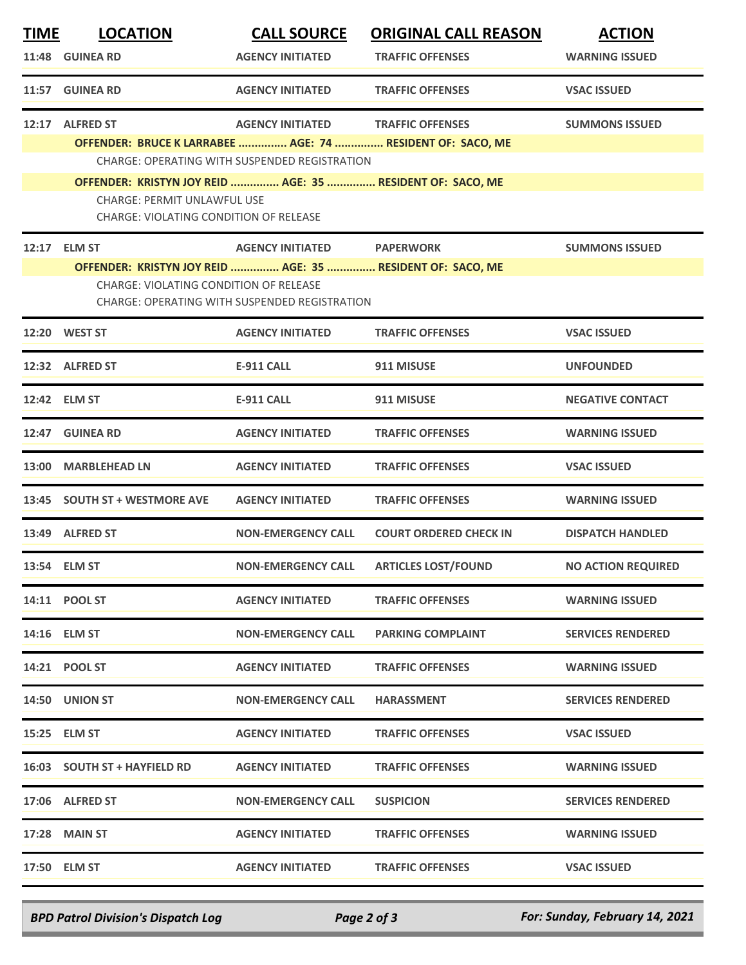| <u>TIME</u> | <b>LOCATION</b>                                            | <b>CALL SOURCE</b>                                   | <b>ORIGINAL CALL REASON</b>            | <b>ACTION</b>             |
|-------------|------------------------------------------------------------|------------------------------------------------------|----------------------------------------|---------------------------|
|             | 11:48 GUINEA RD                                            | <b>AGENCY INITIATED</b>                              | <b>TRAFFIC OFFENSES</b>                | <b>WARNING ISSUED</b>     |
|             | 11:57 GUINEA RD                                            | <b>AGENCY INITIATED</b>                              | <b>TRAFFIC OFFENSES</b>                | <b>VSAC ISSUED</b>        |
|             | 12:17 ALFRED ST                                            | <b>AGENCY INITIATED</b>                              | <b>TRAFFIC OFFENSES</b>                | <b>SUMMONS ISSUED</b>     |
|             | OFFENDER: BRUCE K LARRABEE  AGE: 74  RESIDENT OF: SACO, ME |                                                      |                                        |                           |
|             |                                                            | CHARGE: OPERATING WITH SUSPENDED REGISTRATION        |                                        |                           |
|             | OFFENDER: KRISTYN JOY REID  AGE: 35  RESIDENT OF: SACO, ME |                                                      |                                        |                           |
|             | <b>CHARGE: PERMIT UNLAWFUL USE</b>                         |                                                      |                                        |                           |
|             | CHARGE: VIOLATING CONDITION OF RELEASE                     |                                                      |                                        |                           |
|             | 12:17 ELM ST                                               | AGENCY INITIATED PAPERWORK                           |                                        | <b>SUMMONS ISSUED</b>     |
|             | OFFENDER: KRISTYN JOY REID  AGE: 35  RESIDENT OF: SACO, ME |                                                      |                                        |                           |
|             | CHARGE: VIOLATING CONDITION OF RELEASE                     |                                                      |                                        |                           |
|             |                                                            | <b>CHARGE: OPERATING WITH SUSPENDED REGISTRATION</b> |                                        |                           |
|             | 12:20 WEST ST                                              | <b>AGENCY INITIATED</b>                              | <b>TRAFFIC OFFENSES</b>                | <b>VSAC ISSUED</b>        |
|             |                                                            |                                                      |                                        |                           |
|             | 12:32 ALFRED ST                                            | <b>E-911 CALL</b>                                    | 911 MISUSE                             | <b>UNFOUNDED</b>          |
|             |                                                            |                                                      |                                        |                           |
|             | 12:42 ELM ST                                               | <b>E-911 CALL</b>                                    | 911 MISUSE                             | <b>NEGATIVE CONTACT</b>   |
| 12:47       | <b>GUINEA RD</b>                                           | <b>AGENCY INITIATED</b>                              | <b>TRAFFIC OFFENSES</b>                | <b>WARNING ISSUED</b>     |
|             |                                                            |                                                      |                                        |                           |
|             | 13:00 MARBLEHEAD LN                                        | <b>AGENCY INITIATED</b>                              | <b>TRAFFIC OFFENSES</b>                | <b>VSAC ISSUED</b>        |
|             |                                                            |                                                      |                                        |                           |
|             | 13:45 SOUTH ST + WESTMORE AVE                              | <b>AGENCY INITIATED</b>                              | <b>TRAFFIC OFFENSES</b>                | <b>WARNING ISSUED</b>     |
|             | 13:49 ALFRED ST                                            | <b>NON-EMERGENCY CALL</b>                            | <b>COURT ORDERED CHECK IN</b>          | <b>DISPATCH HANDLED</b>   |
|             |                                                            |                                                      |                                        |                           |
|             | 13:54 ELM ST                                               |                                                      | NON-EMERGENCY CALL ARTICLES LOST/FOUND | <b>NO ACTION REQUIRED</b> |
|             |                                                            |                                                      |                                        |                           |
|             | 14:11 POOL ST                                              | <b>AGENCY INITIATED</b>                              | <b>TRAFFIC OFFENSES</b>                | <b>WARNING ISSUED</b>     |
|             | 14:16 ELM ST                                               | <b>NON-EMERGENCY CALL</b>                            | <b>PARKING COMPLAINT</b>               | <b>SERVICES RENDERED</b>  |
|             |                                                            |                                                      |                                        |                           |
|             | 14:21 POOL ST                                              | <b>AGENCY INITIATED</b>                              | <b>TRAFFIC OFFENSES</b>                | <b>WARNING ISSUED</b>     |
|             |                                                            |                                                      |                                        |                           |
|             | 14:50 UNION ST                                             | <b>NON-EMERGENCY CALL</b>                            | <b>HARASSMENT</b>                      | <b>SERVICES RENDERED</b>  |
|             |                                                            |                                                      |                                        |                           |
|             | 15:25 ELM ST                                               | <b>AGENCY INITIATED</b>                              | <b>TRAFFIC OFFENSES</b>                | <b>VSAC ISSUED</b>        |
|             | 16:03 SOUTH ST + HAYFIELD RD                               | <b>AGENCY INITIATED</b>                              | <b>TRAFFIC OFFENSES</b>                | <b>WARNING ISSUED</b>     |
|             |                                                            |                                                      |                                        |                           |
|             | 17:06 ALFRED ST                                            | <b>NON-EMERGENCY CALL</b>                            | <b>SUSPICION</b>                       | <b>SERVICES RENDERED</b>  |
|             |                                                            |                                                      |                                        |                           |
|             | <b>17:28 MAIN ST</b>                                       | <b>AGENCY INITIATED</b>                              | <b>TRAFFIC OFFENSES</b>                | <b>WARNING ISSUED</b>     |
|             | 17:50 ELM ST                                               | <b>AGENCY INITIATED</b>                              | <b>TRAFFIC OFFENSES</b>                | <b>VSAC ISSUED</b>        |
|             |                                                            |                                                      |                                        |                           |

*BPD Patrol Division's Dispatch Log Page 2 of 3 For: Sunday, February 14, 2021*